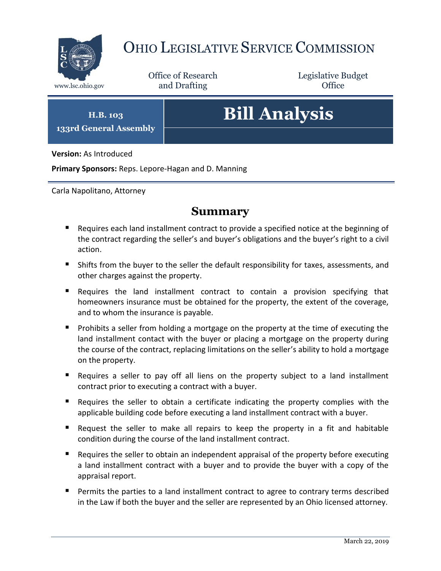

## OHIO LEGISLATIVE SERVICE COMMISSION

Office of Research www.lsc.ohio.gov and Drafting Control of Control of the Control of Control of the Control of Control of the Control of the Control of the Control of the Control of the Control of the Control of the Control of the Control o

Legislative Budget

**H.B. 103 133rd General Assembly**

# **Bill Analysis**

**Version:** As Introduced

**Primary Sponsors:** Reps. Lepore-Hagan and D. Manning

Carla Napolitano, Attorney

## **Summary**

- Requires each land installment contract to provide a specified notice at the beginning of the contract regarding the seller's and buyer's obligations and the buyer's right to a civil action.
- Shifts from the buyer to the seller the default responsibility for taxes, assessments, and other charges against the property.
- Requires the land installment contract to contain a provision specifying that homeowners insurance must be obtained for the property, the extent of the coverage, and to whom the insurance is payable.
- **Prohibits a seller from holding a mortgage on the property at the time of executing the** land installment contact with the buyer or placing a mortgage on the property during the course of the contract, replacing limitations on the seller's ability to hold a mortgage on the property.
- Requires a seller to pay off all liens on the property subject to a land installment contract prior to executing a contract with a buyer.
- Requires the seller to obtain a certificate indicating the property complies with the applicable building code before executing a land installment contract with a buyer.
- Request the seller to make all repairs to keep the property in a fit and habitable condition during the course of the land installment contract.
- Requires the seller to obtain an independent appraisal of the property before executing a land installment contract with a buyer and to provide the buyer with a copy of the appraisal report.
- **Permits the parties to a land installment contract to agree to contrary terms described** in the Law if both the buyer and the seller are represented by an Ohio licensed attorney.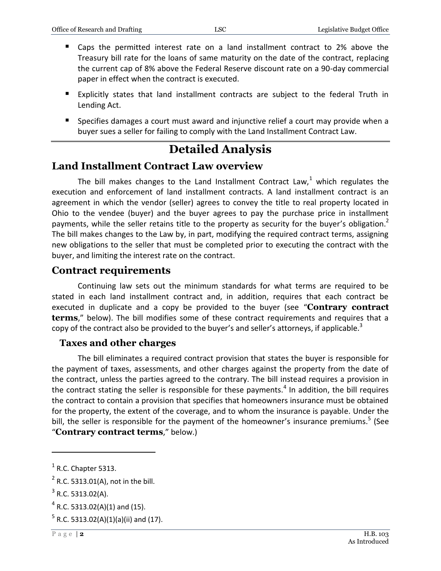- Caps the permitted interest rate on a land installment contract to 2% above the Treasury bill rate for the loans of same maturity on the date of the contract, replacing the current cap of 8% above the Federal Reserve discount rate on a 90-day commercial paper in effect when the contract is executed.
- Explicitly states that land installment contracts are subject to the federal Truth in Lending Act.
- **Specifies damages a court must award and injunctive relief a court may provide when a** buyer sues a seller for failing to comply with the Land Installment Contract Law.

## **Detailed Analysis**

## **Land Installment Contract Law overview**

The bill makes changes to the Land Installment Contract Law,<sup>1</sup> which regulates the execution and enforcement of land installment contracts. A land installment contract is an agreement in which the vendor (seller) agrees to convey the title to real property located in Ohio to the vendee (buyer) and the buyer agrees to pay the purchase price in installment payments, while the seller retains title to the property as security for the buyer's obligation.<sup>2</sup> The bill makes changes to the Law by, in part, modifying the required contract terms, assigning new obligations to the seller that must be completed prior to executing the contract with the buyer, and limiting the interest rate on the contract.

#### **Contract requirements**

Continuing law sets out the minimum standards for what terms are required to be stated in each land installment contract and, in addition, requires that each contract be executed in duplicate and a copy be provided to the buyer (see "**Contrary contract terms**," below). The bill modifies some of these contract requirements and requires that a copy of the contract also be provided to the buyer's and seller's attorneys, if applicable.<sup>3</sup>

#### **Taxes and other charges**

The bill eliminates a required contract provision that states the buyer is responsible for the payment of taxes, assessments, and other charges against the property from the date of the contract, unless the parties agreed to the contrary. The bill instead requires a provision in the contract stating the seller is responsible for these payments.<sup>4</sup> In addition, the bill requires the contract to contain a provision that specifies that homeowners insurance must be obtained for the property, the extent of the coverage, and to whom the insurance is payable. Under the bill, the seller is responsible for the payment of the homeowner's insurance premiums.<sup>5</sup> (See "**Contrary contract terms**," below.)

 $\overline{a}$ 

 $<sup>1</sup>$  R.C. Chapter 5313.</sup>

 $2$  R.C. 5313.01(A), not in the bill.

 $3$  R.C. 5313.02(A).

 $4$  R.C. 5313.02(A)(1) and (15).

 $^5$  R.C. 5313.02(A)(1)(a)(ii) and (17).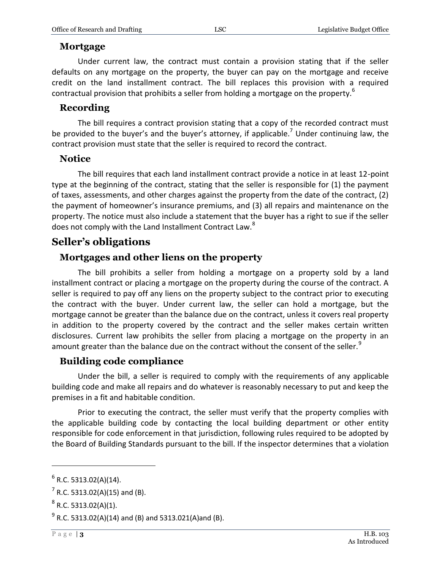#### **Mortgage**

Under current law, the contract must contain a provision stating that if the seller defaults on any mortgage on the property, the buyer can pay on the mortgage and receive credit on the land installment contract. The bill replaces this provision with a required contractual provision that prohibits a seller from holding a mortgage on the property.<sup>6</sup>

### **Recording**

The bill requires a contract provision stating that a copy of the recorded contract must be provided to the buyer's and the buyer's attorney, if applicable.<sup>7</sup> Under continuing law, the contract provision must state that the seller is required to record the contract.

#### **Notice**

The bill requires that each land installment contract provide a notice in at least 12-point type at the beginning of the contract, stating that the seller is responsible for (1) the payment of taxes, assessments, and other charges against the property from the date of the contract, (2) the payment of homeowner's insurance premiums, and (3) all repairs and maintenance on the property. The notice must also include a statement that the buyer has a right to sue if the seller does not comply with the Land Installment Contract Law.<sup>8</sup>

## **Seller's obligations**

## **Mortgages and other liens on the property**

The bill prohibits a seller from holding a mortgage on a property sold by a land installment contract or placing a mortgage on the property during the course of the contract. A seller is required to pay off any liens on the property subject to the contract prior to executing the contract with the buyer. Under current law, the seller can hold a mortgage, but the mortgage cannot be greater than the balance due on the contract, unless it covers real property in addition to the property covered by the contract and the seller makes certain written disclosures. Current law prohibits the seller from placing a mortgage on the property in an amount greater than the balance due on the contract without the consent of the seller.<sup>9</sup>

## **Building code compliance**

Under the bill, a seller is required to comply with the requirements of any applicable building code and make all repairs and do whatever is reasonably necessary to put and keep the premises in a fit and habitable condition.

Prior to executing the contract, the seller must verify that the property complies with the applicable building code by contacting the local building department or other entity responsible for code enforcement in that jurisdiction, following rules required to be adopted by the Board of Building Standards pursuant to the bill. If the inspector determines that a violation

 $\overline{a}$ 

 $<sup>6</sup>$  R.C. 5313.02(A)(14).</sup>

 $7$  R.C. 5313.02(A)(15) and (B).

 $^8$  R.C. 5313.02(A)(1).

 $^{9}$  R.C. 5313.02(A)(14) and (B) and 5313.021(A)and (B).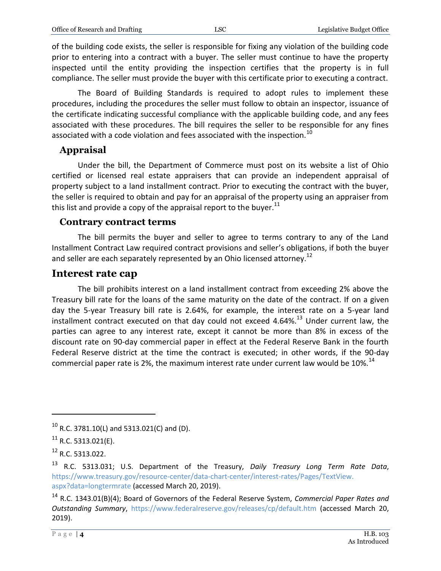of the building code exists, the seller is responsible for fixing any violation of the building code prior to entering into a contract with a buyer. The seller must continue to have the property inspected until the entity providing the inspection certifies that the property is in full compliance. The seller must provide the buyer with this certificate prior to executing a contract.

The Board of Building Standards is required to adopt rules to implement these procedures, including the procedures the seller must follow to obtain an inspector, issuance of the certificate indicating successful compliance with the applicable building code, and any fees associated with these procedures. The bill requires the seller to be responsible for any fines associated with a code violation and fees associated with the inspection.<sup>10</sup>

#### **Appraisal**

Under the bill, the Department of Commerce must post on its website a list of Ohio certified or licensed real estate appraisers that can provide an independent appraisal of property subject to a land installment contract. Prior to executing the contract with the buyer, the seller is required to obtain and pay for an appraisal of the property using an appraiser from this list and provide a copy of the appraisal report to the buyer. $^{11}$ 

#### **Contrary contract terms**

The bill permits the buyer and seller to agree to terms contrary to any of the Land Installment Contract Law required contract provisions and seller's obligations, if both the buyer and seller are each separately represented by an Ohio licensed attorney.<sup>12</sup>

#### **Interest rate cap**

The bill prohibits interest on a land installment contract from exceeding 2% above the Treasury bill rate for the loans of the same maturity on the date of the contract. If on a given day the 5-year Treasury bill rate is 2.64%, for example, the interest rate on a 5-year land installment contract executed on that day could not exceed 4.64%.<sup>13</sup> Under current law, the parties can agree to any interest rate, except it cannot be more than 8% in excess of the discount rate on 90-day commercial paper in effect at the Federal Reserve Bank in the fourth Federal Reserve district at the time the contract is executed; in other words, if the 90-day commercial paper rate is 2%, the maximum interest rate under current law would be  $10\%$ .<sup>14</sup>

 $\overline{a}$ 

 $10$  R.C. 3781.10(L) and 5313.021(C) and (D).

 $^{11}$  R.C. 5313.021(E).

<sup>12</sup> R.C. 5313.022.

<sup>13</sup> R.C. 5313.031; U.S. Department of the Treasury, *Daily Treasury Long Term Rate Data*, [https://www.treasury.gov/resource-center/data-chart-center/interest-rates/Pages/TextView.](https://www.treasury.gov/resource-center/data-chart-center/interest-rates/Pages/TextView.%0baspx?data=longtermrate) [aspx?data=longtermrate](https://www.treasury.gov/resource-center/data-chart-center/interest-rates/Pages/TextView.%0baspx?data=longtermrate) (accessed March 20, 2019).

<sup>14</sup> R.C. 1343.01(B)(4); Board of Governors of the Federal Reserve System, *Commercial Paper Rates and Outstanding Summary*, <https://www.federalreserve.gov/releases/cp/default.htm> (accessed March 20, 2019).